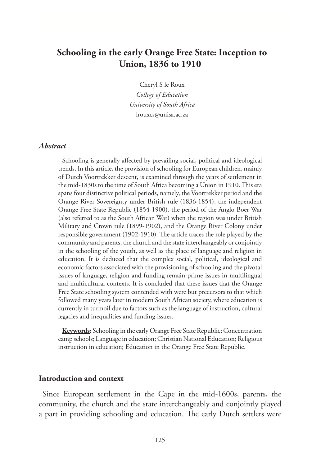# **Schooling in the early Orange Free State: Inception to Union, 1836 to 1910**

Cheryl S le Roux *College of Education University of South Africa* lrouxcs@unisa.ac.za

#### *Abstract*

Schooling is generally affected by prevailing social, political and ideological trends. In this article, the provision of schooling for European children, mainly of Dutch Voortrekker descent, is examined through the years of settlement in the mid-1830s to the time of South Africa becoming a Union in 1910. This era spans four distinctive political periods, namely, the Voortrekker period and the Orange River Sovereignty under British rule (1836-1854), the independent Orange Free State Republic (1854-1900), the period of the Anglo-Boer War (also referred to as the South African War) when the region was under British Military and Crown rule (1899-1902), and the Orange River Colony under responsible government (1902-1910). The article traces the role played by the community and parents, the church and the state interchangeably or conjointly in the schooling of the youth, as well as the place of language and religion in education. It is deduced that the complex social, political, ideological and economic factors associated with the provisioning of schooling and the pivotal issues of language, religion and funding remain prime issues in multilingual and multicultural contexts. It is concluded that these issues that the Orange Free State schooling system contended with were but precursors to that which followed many years later in modern South African society, where education is currently in turmoil due to factors such as the language of instruction, cultural legacies and inequalities and funding issues.

**Keywords:** Schooling in the early Orange Free State Republic; Concentration camp schools; Language in education; Christian National Education; Religious instruction in education; Education in the Orange Free State Republic.

#### **Introduction and context**

Since European settlement in the Cape in the mid-1600s, parents, the community, the church and the state interchangeably and conjointly played a part in providing schooling and education. The early Dutch settlers were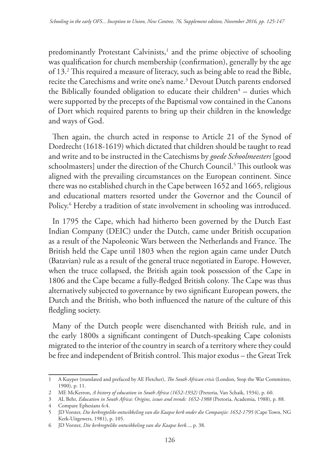predominantly Protestant Calvinists,<sup>1</sup> and the prime objective of schooling was qualification for church membership (confirmation), generally by the age of 13.2 This required a measure of literacy, such as being able to read the Bible, recite the Catechisms and write one's name.<sup>3</sup> Devout Dutch parents endorsed the Biblically founded obligation to educate their children $4$  – duties which were supported by the precepts of the Baptismal vow contained in the Canons of Dort which required parents to bring up their children in the knowledge and ways of God.

Then again, the church acted in response to Article 21 of the Synod of Dordrecht (1618-1619) which dictated that children should be taught to read and write and to be instructed in the Catechisms by *goede Schoolmeesters* [good schoolmasters] under the direction of the Church Council.5 This outlook was aligned with the prevailing circumstances on the European continent. Since there was no established church in the Cape between 1652 and 1665, religious and educational matters resorted under the Governor and the Council of Policy.6 Hereby a tradition of state involvement in schooling was introduced.

In 1795 the Cape, which had hitherto been governed by the Dutch East Indian Company (DEIC) under the Dutch, came under British occupation as a result of the Napoleonic Wars between the Netherlands and France. The British held the Cape until 1803 when the region again came under Dutch (Batavian) rule as a result of the general truce negotiated in Europe. However, when the truce collapsed, the British again took possession of the Cape in 1806 and the Cape became a fully-fledged British colony. The Cape was thus alternatively subjected to governance by two significant European powers, the Dutch and the British, who both influenced the nature of the culture of this fledgling society.

Many of the Dutch people were disenchanted with British rule, and in the early 1800s a significant contingent of Dutch-speaking Cape colonists migrated to the interior of the country in search of a territory where they could be free and independent of British control. This major exodus – the Great Trek

<sup>1</sup> A Kuyper (translated and prefaced by AE Fletcher), *The South African crisis* (London, Stop the War Committee, 1900), p. 11.

<sup>2</sup> ME McKerron, *A history of education in South Africa (1652-1932)* (Pretoria, Van Schaik, 1934), p. 60.

<sup>3</sup> AL Behr, *Education in South Africa: Origins, issues and trends: 1652-1988* (Pretoria, Academia, 1988), p. 88.

<sup>4</sup> Compare Ephesians 6:4.

<sup>5</sup> JD Vorster, *Die kerkregtelike ontwikkeling van die Kaapse kerk onder die Companjie: 1652-1795* (Cape Town, NG Kerk-Uitgewers, 1981), p. 105.

<sup>6</sup> JD Vorster, *Die kerkregtelike ontwikkeling van die Kaapse kerk...*, p. 38.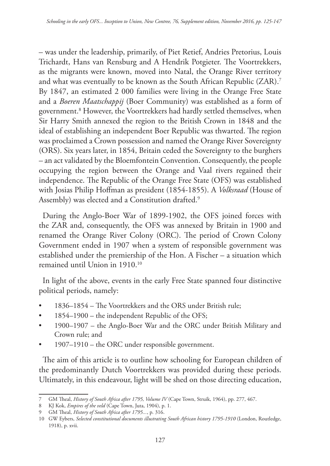– was under the leadership, primarily, of Piet Retief, Andries Pretorius, Louis Trichardt, Hans van Rensburg and A Hendrik Potgieter. The Voortrekkers, as the migrants were known, moved into Natal, the Orange River territory and what was eventually to be known as the South African Republic (ZAR).7 By 1847, an estimated 2 000 families were living in the Orange Free State and a *Boeren Maatschappij* (Boer Community) was established as a form of government.8 However, the Voortrekkers had hardly settled themselves, when Sir Harry Smith annexed the region to the British Crown in 1848 and the ideal of establishing an independent Boer Republic was thwarted. The region was proclaimed a Crown possession and named the Orange River Sovereignty (ORS). Six years later, in 1854, Britain ceded the Sovereignty to the burghers – an act validated by the Bloemfontein Convention. Consequently, the people occupying the region between the Orange and Vaal rivers regained their independence. The Republic of the Orange Free State (OFS) was established with Josias Philip Hoffman as president (1854-1855). A *Volksraad* (House of Assembly) was elected and a Constitution drafted.<sup>9</sup>

During the Anglo-Boer War of 1899-1902, the OFS joined forces with the ZAR and, consequently, the OFS was annexed by Britain in 1900 and renamed the Orange River Colony (ORC). The period of Crown Colony Government ended in 1907 when a system of responsible government was established under the premiership of the Hon. A Fischer – a situation which remained until Union in 1910.<sup>10</sup>

In light of the above, events in the early Free State spanned four distinctive political periods, namely:

- 1836–1854 The Voortrekkers and the ORS under British rule;
- 1854–1900 the independent Republic of the OFS;
- 1900–1907 the Anglo-Boer War and the ORC under British Military and Crown rule; and
- 1907–1910 the ORC under responsible government.

The aim of this article is to outline how schooling for European children of the predominantly Dutch Voortrekkers was provided during these periods. Ultimately, in this endeavour, light will be shed on those directing education,

<sup>7</sup> GM Theal, *History of South Africa after 1795, Volume IV* (Cape Town, Struik, 1964), pp. 277, 467.

<sup>8</sup> KJ Kok, *Empires of the veld* (Cape Town, Juta, 1904), p. 1.

<sup>9</sup> GM Theal, *History of South Africa after 1795...*, p. 316.

<sup>10</sup> GW Eybers, *Selected constitutional documents illustrating South African history 1795-1910* (London, Routledge, 1918), p. xvii.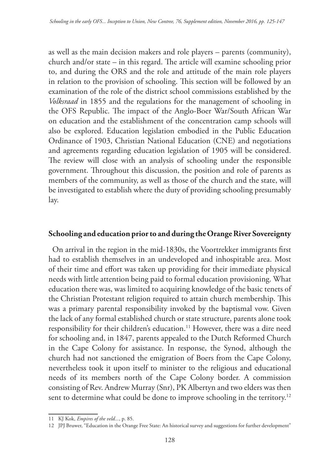as well as the main decision makers and role players – parents (community), church and/or state – in this regard. The article will examine schooling prior to, and during the ORS and the role and attitude of the main role players in relation to the provision of schooling. This section will be followed by an examination of the role of the district school commissions established by the *Volksraad* in 1855 and the regulations for the management of schooling in the OFS Republic. The impact of the Anglo-Boer War/South African War on education and the establishment of the concentration camp schools will also be explored. Education legislation embodied in the Public Education Ordinance of 1903, Christian National Education (CNE) and negotiations and agreements regarding education legislation of 1905 will be considered. The review will close with an analysis of schooling under the responsible government. Throughout this discussion, the position and role of parents as members of the community, as well as those of the church and the state, will be investigated to establish where the duty of providing schooling presumably lay.

#### **Schooling and education prior to and during the Orange River Sovereignty**

On arrival in the region in the mid-1830s, the Voortrekker immigrants first had to establish themselves in an undeveloped and inhospitable area. Most of their time and effort was taken up providing for their immediate physical needs with little attention being paid to formal education provisioning. What education there was, was limited to acquiring knowledge of the basic tenets of the Christian Protestant religion required to attain church membership. This was a primary parental responsibility invoked by the baptismal vow. Given the lack of any formal established church or state structure, parents alone took responsibility for their children's education.<sup>11</sup> However, there was a dire need for schooling and, in 1847, parents appealed to the Dutch Reformed Church in the Cape Colony for assistance. In response, the Synod, although the church had not sanctioned the emigration of Boers from the Cape Colony, nevertheless took it upon itself to minister to the religious and educational needs of its members north of the Cape Colony border. A commission consisting of Rev. Andrew Murray (Snr), PK Albertyn and two elders was then sent to determine what could be done to improve schooling in the territory.<sup>12</sup>

<sup>11</sup> KJ Kok, *Empires of the veld...*, p. 85.

<sup>12</sup> JPJ Bruwer, "Education in the Orange Free State: An historical survey and suggestions for further development"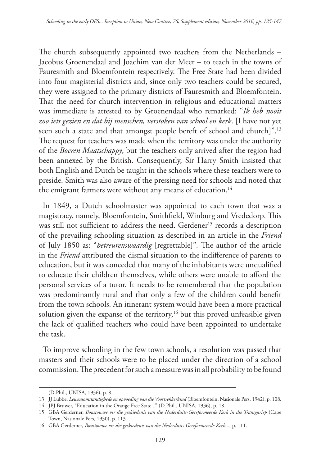The church subsequently appointed two teachers from the Netherlands – Jacobus Groenendaal and Joachim van der Meer – to teach in the towns of Fauresmith and Bloemfontein respectively. The Free State had been divided into four magisterial districts and, since only two teachers could be secured, they were assigned to the primary districts of Fauresmith and Bloemfontein. That the need for church intervention in religious and educational matters was immediate is attested to by Groenendaal who remarked: "*Ik heb nooit zoo iets gezien en dat bij menschen, verstoken van school en kerk*. [I have not yet seen such a state and that amongst people bereft of school and church]".13 The request for teachers was made when the territory was under the authority of the *Boeren Maatschappy*, but the teachers only arrived after the region had been annexed by the British. Consequently, Sir Harry Smith insisted that both English and Dutch be taught in the schools where these teachers were to preside. Smith was also aware of the pressing need for schools and noted that the emigrant farmers were without any means of education.<sup>14</sup>

In 1849, a Dutch schoolmaster was appointed to each town that was a magistracy, namely, Bloemfontein, Smithfield, Winburg and Vrededorp. This was still not sufficient to address the need. Gerdener<sup>15</sup> records a description of the prevailing schooling situation as described in an article in the *Friend* of July 1850 as: "*betreurenswaardig* [regrettable]"*.* The author of the article in the *Friend* attributed the dismal situation to the indifference of parents to education, but it was conceded that many of the inhabitants were unqualified to educate their children themselves, while others were unable to afford the personal services of a tutor. It needs to be remembered that the population was predominantly rural and that only a few of the children could benefit from the town schools. An itinerant system would have been a more practical solution given the expanse of the territory,<sup>16</sup> but this proved unfeasible given the lack of qualified teachers who could have been appointed to undertake the task.

To improve schooling in the few town schools, a resolution was passed that masters and their schools were to be placed under the direction of a school commission. The precedent for such a measure was in all probability to be found

<sup>(</sup>D.Phil., UNISA, 1936), p. 8.

<sup>13</sup> JJ Lubbe, *Lewensomstandighede en opvoeding van die Voortrekkerkind* (Bloemfontein, Nasionale Pers, 1942), p. 108.

<sup>14</sup> JPJ Bruwer, "Education in the Orange Free State..." (D.Phil., UNISA, 1936), p. 18.

<sup>15</sup> GBA Gerderner, *Boustowwe vir die geskiedenis van die Nederduits-Gereformeerde Kerk in die Transgariep* (Cape Town, Nasionale Pers, 1930), p. 113.

<sup>16</sup> GBA Gerderner, *Boustowwe vir die geskiedenis van die Nederduits-Gereformeerde Kerk...*, p. 111.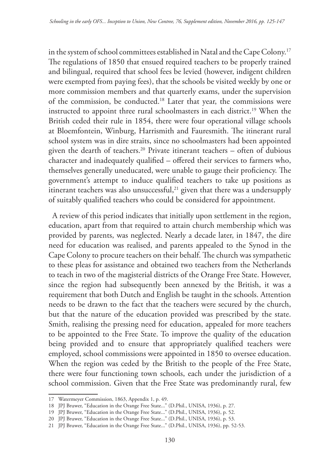in the system of school committees established in Natal and the Cape Colony.17 The regulations of 1850 that ensued required teachers to be properly trained and bilingual, required that school fees be levied (however, indigent children were exempted from paying fees), that the schools be visited weekly by one or more commission members and that quarterly exams, under the supervision of the commission, be conducted.18 Later that year, the commissions were instructed to appoint three rural schoolmasters in each district.<sup>19</sup> When the British ceded their rule in 1854, there were four operational village schools at Bloemfontein, Winburg, Harrismith and Fauresmith. The itinerant rural school system was in dire straits, since no schoolmasters had been appointed given the dearth of teachers.<sup>20</sup> Private itinerant teachers - often of dubious character and inadequately qualified – offered their services to farmers who, themselves generally uneducated, were unable to gauge their proficiency. The government's attempt to induce qualified teachers to take up positions as itinerant teachers was also unsuccessful, $21$  given that there was a undersupply of suitably qualified teachers who could be considered for appointment.

A review of this period indicates that initially upon settlement in the region, education, apart from that required to attain church membership which was provided by parents, was neglected. Nearly a decade later, in 1847, the dire need for education was realised, and parents appealed to the Synod in the Cape Colony to procure teachers on their behalf. The church was sympathetic to these pleas for assistance and obtained two teachers from the Netherlands to teach in two of the magisterial districts of the Orange Free State. However, since the region had subsequently been annexed by the British, it was a requirement that both Dutch and English be taught in the schools. Attention needs to be drawn to the fact that the teachers were secured by the church, but that the nature of the education provided was prescribed by the state. Smith, realising the pressing need for education, appealed for more teachers to be appointed to the Free State. To improve the quality of the education being provided and to ensure that appropriately qualified teachers were employed, school commissions were appointed in 1850 to oversee education. When the region was ceded by the British to the people of the Free State, there were four functioning town schools, each under the jurisdiction of a school commission. Given that the Free State was predominantly rural, few

<sup>17</sup> Watermeyer Commission, 1863, Appendix 1, p. 49.

<sup>18</sup> JPJ Bruwer, "Education in the Orange Free State..." (D.Phil., UNISA, 1936), p. 27.

<sup>19</sup> JPJ Bruwer, "Education in the Orange Free State..." (D.Phil., UNISA, 1936), p. 52.

<sup>20</sup> JPJ Bruwer, "Education in the Orange Free State..." (D.Phil., UNISA, 1936), p. 53.

<sup>21</sup> JPJ Bruwer, "Education in the Orange Free State..." (D.Phil., UNISA, 1936), pp. 52-53.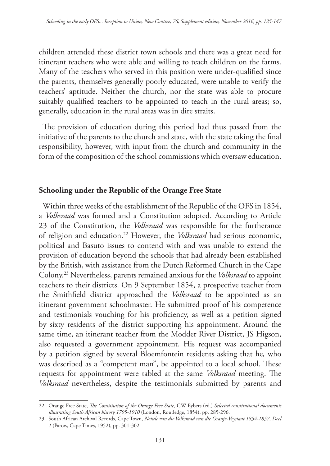children attended these district town schools and there was a great need for itinerant teachers who were able and willing to teach children on the farms. Many of the teachers who served in this position were under-qualified since the parents, themselves generally poorly educated, were unable to verify the teachers' aptitude. Neither the church, nor the state was able to procure suitably qualified teachers to be appointed to teach in the rural areas; so, generally, education in the rural areas was in dire straits.

The provision of education during this period had thus passed from the initiative of the parents to the church and state, with the state taking the final responsibility, however, with input from the church and community in the form of the composition of the school commissions which oversaw education.

### **Schooling under the Republic of the Orange Free State**

Within three weeks of the establishment of the Republic of the OFS in 1854, a *Volksraad* was formed and a Constitution adopted. According to Article 23 of the Constitution, the *Volksraad* was responsible for the furtherance of religion and education.22 However, the *Volksraad* had serious economic, political and Basuto issues to contend with and was unable to extend the provision of education beyond the schools that had already been established by the British, with assistance from the Dutch Reformed Church in the Cape Colony.23 Nevertheless, parents remained anxious for the *Volksraad* to appoint teachers to their districts. On 9 September 1854, a prospective teacher from the Smithfield district approached the *Volksraad* to be appointed as an itinerant government schoolmaster. He submitted proof of his competence and testimonials vouching for his proficiency, as well as a petition signed by sixty residents of the district supporting his appointment. Around the same time, an itinerant teacher from the Modder River District, JS Higson, also requested a government appointment. His request was accompanied by a petition signed by several Bloemfontein residents asking that he*,* who was described as a "competent man", be appointed to a local school. These requests for appointment were tabled at the same *Volksraad* meeting. The *Volksraad* nevertheless, despite the testimonials submitted by parents and

<sup>22</sup> Orange Free State, *The Constitution of the Orange Free State,* GW Eybers (ed.) *Selected constitutional documents illustrating South African history 1795-1910* (London, Routledge, 1854), pp. 285-296.

<sup>23</sup> South African Archival Records, Cape Town, *Notule van die Volksraad van die Oranje-Vrystaat 1854-1857, Deel 1* (Parow, Cape Times, 1952), pp. 301-302.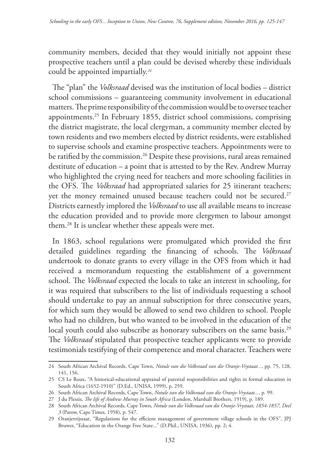community members, decided that they would initially not appoint these prospective teachers until a plan could be devised whereby these individuals could be appointed impartially.*<sup>24</sup>*

The "plan" the *Volksraad* devised was the institution of local bodies – district school commissions – guaranteeing community involvement in educational matters. The prime responsibility of the commission would be to oversee teacher appointments.25 In February 1855, district school commissions, comprising the district magistrate, the local clergyman, a community member elected by town residents and two members elected by district residents, were established to supervise schools and examine prospective teachers. Appointments were to be ratified by the commission.<sup>26</sup> Despite these provisions, rural areas remained destitute of education – a point that is attested to by the Rev. Andrew Murray who highlighted the crying need for teachers and more schooling facilities in the OFS. The *Volksraad* had appropriated salaries for 25 itinerant teachers; yet the money remained unused because teachers could not be secured.<sup>27</sup> Districts earnestly implored the *Volksraad* to use all available means to increase the education provided and to provide more clergymen to labour amongst them.28 It is unclear whether these appeals were met.

In 1863, school regulations were promulgated which provided the first detailed guidelines regarding the financing of schools. The *Volksraad* undertook to donate grants to every village in the OFS from which it had received a memorandum requesting the establishment of a government school. The *Volksraad* expected the locals to take an interest in schooling, for it was required that subscribers to the list of individuals requesting a school should undertake to pay an annual subscription for three consecutive years, for which sum they would be allowed to send two children to school. People who had no children, but who wanted to be involved in the education of the local youth could also subscribe as honorary subscribers on the same basis.<sup>29</sup> The *Volksraad* stipulated that prospective teacher applicants were to provide testimonials testifying of their competence and moral character. Teachers were

<sup>24</sup> South African Archival Records, Cape Town, *Notule van die Volksraad van die Oranje-Vrystaat...*, pp. 75, 128, 141, 156.

<sup>25</sup> CS Le Roux, "A historical-educational appraisal of parental responsibilities and rights in formal education in South Africa (1652-1910)" (D.Ed., UNISA, 1999), p. 259.

<sup>26</sup> South African Archival Records, Cape Town, *Notule van die Volksraad van die Oranje-Vrystaat...*, p. 99.

<sup>27</sup> J du Plessis, *The life of Andrew Murray in South Africa* (London, Marshall Brothers, 1919), p. 189.

<sup>28</sup> South African Archival Records, Cape Town, *Notule van die Volksraad van die Oranje-Vrystaat, 1854-1857, Deel 3* (Parow, Cape Times, 1958), p. 547.

<sup>29</sup> Oranjevrijstaat, "Regulations for the efficient management of government village schools in the OFS", JPJ Bruwer, "Education in the Orange Free State..." (D.Phil., UNISA, 1936), pp. 2; 4.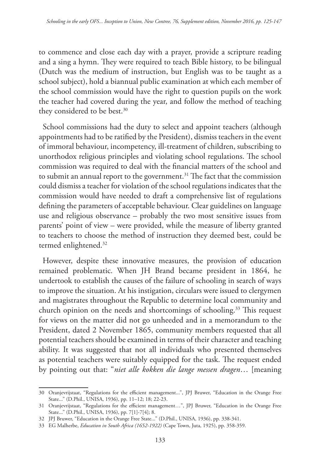to commence and close each day with a prayer, provide a scripture reading and a sing a hymn. They were required to teach Bible history, to be bilingual (Dutch was the medium of instruction, but English was to be taught as a school subject), hold a biannual public examination at which each member of the school commission would have the right to question pupils on the work the teacher had covered during the year, and follow the method of teaching they considered to be best.<sup>30</sup>

School commissions had the duty to select and appoint teachers (although appointments had to be ratified by the President), dismiss teachers in the event of immoral behaviour, incompetency, ill-treatment of children, subscribing to unorthodox religious principles and violating school regulations. The school commission was required to deal with the financial matters of the school and to submit an annual report to the government.<sup>31</sup> The fact that the commission could dismiss a teacher for violation of the school regulations indicates that the commission would have needed to draft a comprehensive list of regulations defining the parameters of acceptable behaviour. Clear guidelines on language use and religious observance – probably the two most sensitive issues from parents' point of view – were provided, while the measure of liberty granted to teachers to choose the method of instruction they deemed best, could be termed enlightened.<sup>32</sup>

However, despite these innovative measures, the provision of education remained problematic. When JH Brand became president in 1864, he undertook to establish the causes of the failure of schooling in search of ways to improve the situation. At his instigation, circulars were issued to clergymen and magistrates throughout the Republic to determine local community and church opinion on the needs and shortcomings of schooling.<sup>33</sup> This request for views on the matter did not go unheeded and in a memorandum to the President, dated 2 November 1865, community members requested that all potential teachers should be examined in terms of their character and teaching ability. It was suggested that not all individuals who presented themselves as potential teachers were suitably equipped for the task. The request ended by pointing out that: "*niet alle kokken die lange messen dragen*… [meaning

<sup>30</sup> Oranjevrijstaat, "Regulations for the efficient management...", JPJ Bruwer, "Education in the Orange Free State..." (D.Phil., UNISA, 1936), pp. 11–12; 18; 22-23.

<sup>31</sup> Oranjevrijstaat, "Regulations for the efficient management…", JPJ Bruwer, "Education in the Orange Free State..." (D.Phil., UNISA, 1936), pp. 7[1]-7[4]; 8.

<sup>32</sup> JPJ Bruwer, "Education in the Orange Free State..." (D.Phil., UNISA, 1936), pp. 338-341.

<sup>33</sup> EG Malherbe, *Education in South Africa (1652-1922)* (Cape Town, Juta, 1925), pp. 358-359.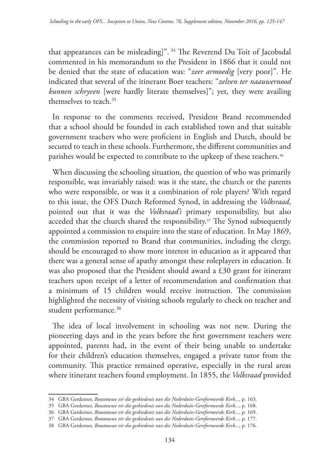that appearances can be misleading]". 34 The Reverend Du Toit of Jacobsdal commented in his memorandum to the President in 1866 that it could not be denied that the state of education was: "*zeer armoedig* [very poor]". He indicated that several of the itinerant Boer teachers: "*zelven ter naauwernood kunnen schryven* [were hardly literate themselves]"; yet, they were availing themselves to teach.35

In response to the comments received, President Brand recommended that a school should be founded in each established town and that suitable government teachers who were proficient in English and Dutch, should be secured to teach in these schools. Furthermore, the different communities and parishes would be expected to contribute to the upkeep of these teachers.<sup>36</sup>

When discussing the schooling situation, the question of who was primarily responsible, was invariably raised: was it the state, the church or the parents who were responsible, or was it a combination of role players? With regard to this issue, the OFS Dutch Reformed Synod, in addressing the *Volksraad*, pointed out that it was the *Volksraad's* primary responsibility, but also acceded that the church shared the responsibility.<sup>37</sup> The Synod subsequently appointed a commission to enquire into the state of education. In May 1869, the commission reported to Brand that communities, including the clergy, should be encouraged to show more interest in education as it appeared that there was a general sense of apathy amongst these roleplayers in education. It was also proposed that the President should award a £30 grant for itinerant teachers upon receipt of a letter of recommendation and confirmation that a minimum of 15 children would receive instruction. The commission highlighted the necessity of visiting schools regularly to check on teacher and student performance.<sup>38</sup>

The idea of local involvement in schooling was not new. During the pioneering days and in the years before the first government teachers were appointed, parents had, in the event of their being unable to undertake for their children's education themselves, engaged a private tutor from the community. This practice remained operative, especially in the rural areas where itinerant teachers found employment. In 1855, the *Volksraad* provided

<sup>34</sup> GBA Gerderner, *Boustowwe vir die geskiedenis van die Nederduits-Gereformeerde Kerk...*, p. 163.

<sup>35</sup> GBA Gerderner, *Boustowwe vir die geskiedenis van die Nederduits-Gereformeerde Kerk...*, p. 168.

<sup>36</sup> GBA Gerderner, *Boustowwe vir die geskiedenis van die Nederduits-Gereformeerde Kerk...*, p. 169.

<sup>37</sup> GBA Gerderner, *Boustowwe vir die geskiedenis van die Nederduits-Gereformeerde Kerk...*, p. 177.

<sup>38</sup> GBA Gerderner, *Boustowwe vir die geskiedenis van die Nederduits-Gereformeerde Kerk...*, p. 176.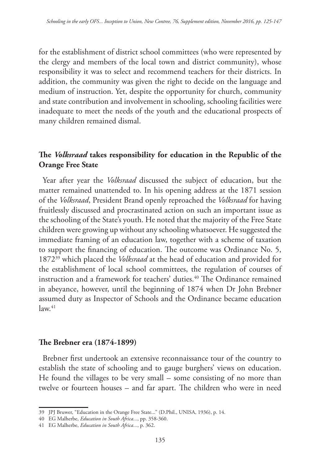for the establishment of district school committees (who were represented by the clergy and members of the local town and district community), whose responsibility it was to select and recommend teachers for their districts. In addition, the community was given the right to decide on the language and medium of instruction. Yet, despite the opportunity for church, community and state contribution and involvement in schooling, schooling facilities were inadequate to meet the needs of the youth and the educational prospects of many children remained dismal.

## **The** *Volksraad* **takes responsibility for education in the Republic of the Orange Free State**

Year after year the *Volksraad* discussed the subject of education, but the matter remained unattended to. In his opening address at the 1871 session of the *Volksraad*, President Brand openly reproached the *Volksraad* for having fruitlessly discussed and procrastinated action on such an important issue as the schooling of the State's youth. He noted that the majority of the Free State children were growing up without any schooling whatsoever. He suggested the immediate framing of an education law, together with a scheme of taxation to support the financing of education. The outcome was Ordinance No. 5, 187239 which placed the *Volksraad* at the head of education and provided for the establishment of local school committees, the regulation of courses of instruction and a framework for teachers' duties.40 The Ordinance remained in abeyance, however, until the beginning of 1874 when Dr John Brebner assumed duty as Inspector of Schools and the Ordinance became education  $law<sup>41</sup>$ 

#### **The Brebner era (1874-1899)**

Brebner first undertook an extensive reconnaissance tour of the country to establish the state of schooling and to gauge burghers' views on education. He found the villages to be very small – some consisting of no more than twelve or fourteen houses – and far apart. The children who were in need

<sup>39</sup> JPJ Bruwer, "Education in the Orange Free State..." (D.Phil., UNISA, 1936), p. 14.

<sup>40</sup> EG Malherbe, *Education in South Africa...*, pp. 358-360.

<sup>41</sup> EG Malherbe, *Education in South Africa...*, p. 362.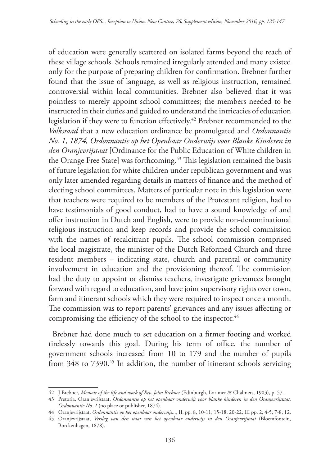of education were generally scattered on isolated farms beyond the reach of these village schools. Schools remained irregularly attended and many existed only for the purpose of preparing children for confirmation. Brebner further found that the issue of language, as well as religious instruction, remained controversial within local communities. Brebner also believed that it was pointless to merely appoint school committees; the members needed to be instructed in their duties and guided to understand the intricacies of education legislation if they were to function effectively.42 Brebner recommended to the *Volksraad* that a new education ordinance be promulgated and *Ordonnantie No. 1, 1874, Ordonnantie op het Openbaar Onderwijs voor Blanke Kinderen in den Oranjevrijstaat* [Ordinance for the Public Education of White children in the Orange Free State] was forthcoming.<sup>43</sup> This legislation remained the basis of future legislation for white children under republican government and was only later amended regarding details in matters of finance and the method of electing school committees. Matters of particular note in this legislation were that teachers were required to be members of the Protestant religion, had to have testimonials of good conduct, had to have a sound knowledge of and offer instruction in Dutch and English, were to provide non-denominational religious instruction and keep records and provide the school commission with the names of recalcitrant pupils. The school commission comprised the local magistrate, the minister of the Dutch Reformed Church and three resident members – indicating state, church and parental or community involvement in education and the provisioning thereof. The commission had the duty to appoint or dismiss teachers, investigate grievances brought forward with regard to education, and have joint supervisory rights over town, farm and itinerant schools which they were required to inspect once a month. The commission was to report parents' grievances and any issues affecting or compromising the efficiency of the school to the inspector.<sup>44</sup>

Brebner had done much to set education on a firmer footing and worked tirelessly towards this goal. During his term of office, the number of government schools increased from 10 to 179 and the number of pupils from 348 to 7390.<sup>45</sup> In addition, the number of itinerant schools servicing

<sup>42</sup> J Brebner, *Memoir of the life and work of Rev. John Brebner* (Edinburgh, Lorimer & Chalmers, 1903), p. 57.

<sup>43</sup> Pretoria, Oranjevrijstaat, *Ordonnantie op het openbaar onderwijs voor blanke kinderen in den Oranjevrijstaat, Ordonnantie No. 1* (no place or publisher, 1874)*.*

<sup>44</sup> Oranjevrijstaat, *Ordonnantie op het openbaar onderwijs...*, II, pp. 8, 10-11; 15-18; 20-22; III pp. 2; 4-5; 7-8; 12.

<sup>45</sup> Oranjevrijstaat, *Verslag van den staat van het openbaar onderwijs in den Oranjevrijstaat* (Bloemfontein, Borckenhagen, 1878).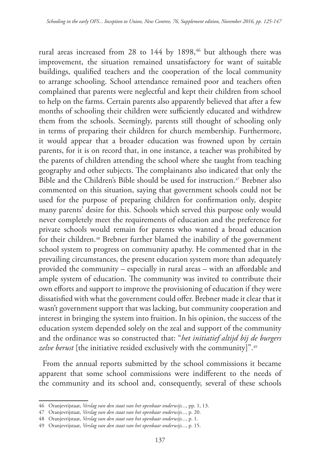rural areas increased from 28 to 144 by 1898,<sup>46</sup> but although there was improvement, the situation remained unsatisfactory for want of suitable buildings, qualified teachers and the cooperation of the local community to arrange schooling. School attendance remained poor and teachers often complained that parents were neglectful and kept their children from school to help on the farms. Certain parents also apparently believed that after a few months of schooling their children were sufficiently educated and withdrew them from the schools. Seemingly, parents still thought of schooling only in terms of preparing their children for church membership. Furthermore, it would appear that a broader education was frowned upon by certain parents, for it is on record that, in one instance, a teacher was prohibited by the parents of children attending the school where she taught from teaching geography and other subjects. The complainants also indicated that only the Bible and the Children's Bible should be used for instruction.<sup>47</sup> Brebner also commented on this situation, saying that government schools could not be used for the purpose of preparing children for confirmation only, despite many parents' desire for this. Schools which served this purpose only would never completely meet the requirements of education and the preference for private schools would remain for parents who wanted a broad education for their children.48 Brebner further blamed the inability of the government school system to progress on community apathy. He commented that in the prevailing circumstances, the present education system more than adequately provided the community – especially in rural areas – with an affordable and ample system of education. The community was invited to contribute their own efforts and support to improve the provisioning of education if they were dissatisfied with what the government could offer. Brebner made it clear that it wasn't government support that was lacking, but community cooperation and interest in bringing the system into fruition. In his opinion, the success of the education system depended solely on the zeal and support of the community and the ordinance was so constructed that: "*het initiatief altijd bij de burgers zelve berust* [the initiative resided exclusively with the community]".49

From the annual reports submitted by the school commissions it became apparent that some school commissions were indifferent to the needs of the community and its school and, consequently, several of these schools

<sup>46</sup> Oranjevrijstaat, *Verslag van den staat van het openbaar onderwijs...*, pp. 1, 13.

<sup>47</sup> Oranjevrijstaat, *Verslag van den staat van het openbaar onderwijs...*, p. 20.

<sup>48</sup> Oranjevrijstaat, *Verslag van den staat van het openbaar onderwijs...*, p. 1.

<sup>49</sup> Oranjevrijstaat, *Verslag van den staat van het openbaar onderwijs...*, p. 15.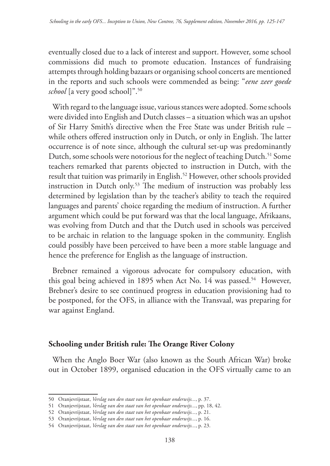eventually closed due to a lack of interest and support. However, some school commissions did much to promote education. Instances of fundraising attempts through holding bazaars or organising school concerts are mentioned in the reports and such schools were commended as being: "*eene zeer goede*  school [a very good school]".<sup>50</sup>

With regard to the language issue, various stances were adopted. Some schools were divided into English and Dutch classes – a situation which was an upshot of Sir Harry Smith's directive when the Free State was under British rule – while others offered instruction only in Dutch, or only in English. The latter occurrence is of note since, although the cultural set-up was predominantly Dutch, some schools were notorious for the neglect of teaching Dutch.<sup>51</sup> Some teachers remarked that parents objected to instruction in Dutch, with the result that tuition was primarily in English.<sup>52</sup> However, other schools provided instruction in Dutch only.<sup>53</sup> The medium of instruction was probably less determined by legislation than by the teacher's ability to teach the required languages and parents' choice regarding the medium of instruction. A further argument which could be put forward was that the local language, Afrikaans, was evolving from Dutch and that the Dutch used in schools was perceived to be archaic in relation to the language spoken in the community. English could possibly have been perceived to have been a more stable language and hence the preference for English as the language of instruction.

Brebner remained a vigorous advocate for compulsory education, with this goal being achieved in 1895 when Act No. 14 was passed.<sup>54</sup> However, Brebner's desire to see continued progress in education provisioning had to be postponed, for the OFS, in alliance with the Transvaal, was preparing for war against England.

## **Schooling under British rule: The Orange River Colony**

When the Anglo Boer War (also known as the South African War) broke out in October 1899, organised education in the OFS virtually came to an

<sup>50</sup> Oranjevrijstaat, *Verslag van den staat van het openbaar onderwijs...*, p. 37.

<sup>51</sup> Oranjevrijstaat, *Verslag van den staat van het openbaar onderwijs...*, pp. 18, 42.

<sup>52</sup> Oranjevrijstaat, *Verslag van den staat van het openbaar onderwijs...*, p. 21.

<sup>53</sup> Oranjevrijstaat, *Verslag van den staat van het openbaar onderwijs...*, p. 16.

<sup>54</sup> Oranjevrijstaat, *Verslag van den staat van het openbaar onderwijs...*, p. 23.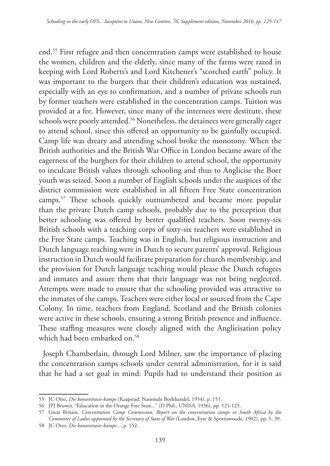end.55 First refugee and then concentration camps were established to house the women, children and the elderly, since many of the farms were razed in keeping with Lord Roberts's and Lord Kitchener's "scorched earth" policy. It was important to the burgers that their children's education was sustained, especially with an eye to confirmation, and a number of private schools run by former teachers were established in the concentration camps. Tuition was provided at a fee. However, since many of the internees were destitute, these schools were poorly attended.<sup>56</sup> Nonetheless, the detainees were generally eager to attend school, since this offered an opportunity to be gainfully occupied. Camp life was dreary and attending school broke the monotony. When the British authorities and the British War Office in London became aware of the eagerness of the burghers for their children to attend school, the opportunity to inculcate British values through schooling and thus to Anglicise the Boer youth was seized. Soon a number of English schools under the auspices of the district commission were established in all fifteen Free State concentration camps.57 These schools quickly outnumbered and became more popular than the private Dutch camp schools, probably due to the perception that better schooling was offered by better qualified teachers. Soon twenty-six British schools with a teaching corps of sixty-six teachers were established in the Free State camps. Teaching was in English, but religious instruction and Dutch language teaching were in Dutch to secure parents' approval. Religious instruction in Dutch would facilitate preparation for church membership, and the provision for Dutch language teaching would please the Dutch refugees and inmates and assure them that their language was not being neglected. Attempts were made to ensure that the schooling provided was attractive to the inmates of the camps. Teachers were either local or sourced from the Cape Colony. In time, teachers from England, Scotland and the British colonies were active in these schools, ensuring a strong British presence and influence. These staffing measures were closely aligned with the Anglicisation policy which had been embarked on.<sup>58</sup>

Joseph Chamberlain, through Lord Milner, saw the importance of placing the concentration camps schools under central administration, for it is said that he had a set goal in mind: Pupils had to understand their position as

<sup>55</sup> JC Otto, *Die konsentrasie-kampe* (Kaapstad, Nasionale Boekhandel, 1954), p. 151.

<sup>56</sup> JPJ Bruwer, "Education in the Orange Free State..." (D.Phil., UNISA, 1936), pp. 121-125.

<sup>57</sup> Great Britain, *Concentration Camp Commission. Report on the concentration camps in South Africa by the Committee of Ladies appointed by the Secretary of State of War* (London, Eyre & Spottiswoode, 1902), pp. 5, 39.

<sup>58</sup> JC Otto, *Die konsentrasie-kampe...*, p. 152.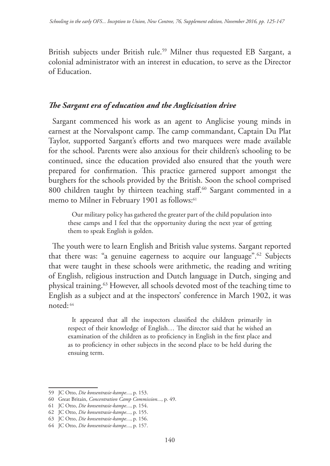British subjects under British rule.<sup>59</sup> Milner thus requested EB Sargant, a colonial administrator with an interest in education, to serve as the Director of Education.

## *The Sargant era of education and the Anglicisation drive*

Sargant commenced his work as an agent to Anglicise young minds in earnest at the Norvalspont camp. The camp commandant, Captain Du Plat Taylor, supported Sargant's efforts and two marquees were made available for the school. Parents were also anxious for their children's schooling to be continued, since the education provided also ensured that the youth were prepared for confirmation. This practice garnered support amongst the burghers for the schools provided by the British. Soon the school comprised 800 children taught by thirteen teaching staff.<sup>60</sup> Sargant commented in a memo to Milner in February 1901 as follows:<sup>61</sup>

Our military policy has gathered the greater part of the child population into these camps and I feel that the opportunity during the next year of getting them to speak English is golden.

The youth were to learn English and British value systems. Sargant reported that there was: "a genuine eagerness to acquire our language".62 Subjects that were taught in these schools were arithmetic, the reading and writing of English, religious instruction and Dutch language in Dutch, singing and physical training.63 However, all schools devoted most of the teaching time to English as a subject and at the inspectors' conference in March 1902, it was noted: 64

It appeared that all the inspectors classified the children primarily in respect of their knowledge of English… The director said that he wished an examination of the children as to proficiency in English in the first place and as to proficiency in other subjects in the second place to be held during the ensuing term.

<sup>59</sup> JC Otto, *Die konsentrasie-kampe...*, p. 153.

<sup>60</sup> Great Britain, *Concentration Camp Commission...*, p. 49.

<sup>61</sup> JC Otto, *Die konsentrasie-kampe...*, p. 154.

<sup>62</sup> JC Otto, *Die konsentrasie-kampe...*, p. 155.

<sup>63</sup> JC Otto, *Die konsentrasie-kampe...*, p. 156.

<sup>64</sup> JC Otto, *Die konsentrasie-kampe...*, p. 157.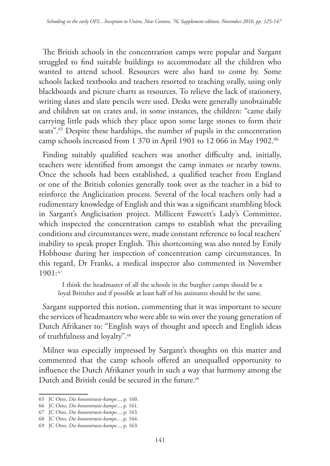The British schools in the concentration camps were popular and Sargant struggled to find suitable buildings to accommodate all the children who wanted to attend school. Resources were also hard to come by. Some schools lacked textbooks and teachers resorted to teaching orally, using only blackboards and picture charts as resources. To relieve the lack of stationery, writing slates and slate pencils were used. Desks were generally unobtainable and children sat on crates and, in some instances, the children: "came daily carrying little pads which they place upon some large stones to form their seats".<sup>65</sup> Despite these hardships, the number of pupils in the concentration camp schools increased from 1 370 in April 1901 to 12 066 in May 1902.<sup>66</sup>

Finding suitably qualified teachers was another difficulty and, initially, teachers were identified from amongst the camp inmates or nearby towns. Once the schools had been established, a qualified teacher from England or one of the British colonies generally took over as the teacher in a bid to reinforce the Anglicization process. Several of the local teachers only had a rudimentary knowledge of English and this was a significant stumbling block in Sargant's Anglicisation project. Millicent Fawcett's Lady's Committee, which inspected the concentration camps to establish what the prevailing conditions and circumstances were, made constant reference to local teachers' inability to speak proper English. This shortcoming was also noted by Emily Hobhouse during her inspection of concentration camp circumstances. In this regard, Dr Franks, a medical inspector also commented in November  $1901: 67$ 

I think the headmaster of all the schools in the burgher camps should be a loyal Britisher and if possible at least half of his assistants should be the same.

Sargant supported this notion, commenting that it was important to secure the services of headmasters who were able to win over the young generation of Dutch Afrikaner to: "English ways of thought and speech and English ideas of truthfulness and loyalty".68

Milner was especially impressed by Sargant's thoughts on this matter and commented that the camp schools offered an unequalled opportunity to influence the Dutch Afrikaner youth in such a way that harmony among the Dutch and British could be secured in the future.<sup>69</sup>

<sup>65</sup> JC Otto, *Die konsentrasie-kampe...*, p. 160.

<sup>66</sup> JC Otto, *Die konsentrasie-kampe...*, p. 161.

<sup>67</sup> JC Otto, *Die konsentrasie-kampe...*, p. 163.

<sup>68</sup> JC Otto, *Die konsentrasie-kampe...*, p. 164.

<sup>69</sup> JC Otto, *Die konsentrasie-kampe...*, p. 163.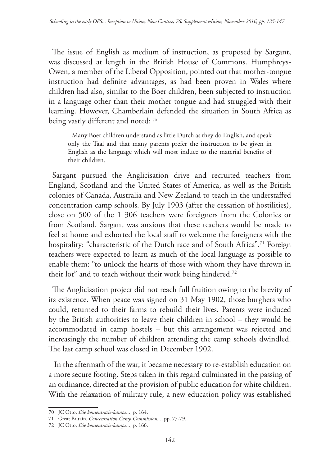The issue of English as medium of instruction, as proposed by Sargant, was discussed at length in the British House of Commons. Humphreys-Owen, a member of the Liberal Opposition, pointed out that mother-tongue instruction had definite advantages, as had been proven in Wales where children had also, similar to the Boer children, been subjected to instruction in a language other than their mother tongue and had struggled with their learning. However, Chamberlain defended the situation in South Africa as being vastly different and noted: 70

Many Boer children understand as little Dutch as they do English, and speak only the Taal and that many parents prefer the instruction to be given in English as the language which will most induce to the material benefits of their children.

Sargant pursued the Anglicisation drive and recruited teachers from England, Scotland and the United States of America, as well as the British colonies of Canada, Australia and New Zealand to teach in the understaffed concentration camp schools. By July 1903 (after the cessation of hostilities), close on 500 of the 1 306 teachers were foreigners from the Colonies or from Scotland. Sargant was anxious that these teachers would be made to feel at home and exhorted the local staff to welcome the foreigners with the hospitality: "characteristic of the Dutch race and of South Africa".<sup>71</sup> Foreign teachers were expected to learn as much of the local language as possible to enable them: "to unlock the hearts of those with whom they have thrown in their lot" and to teach without their work being hindered.<sup>72</sup>

The Anglicisation project did not reach full fruition owing to the brevity of its existence. When peace was signed on 31 May 1902, those burghers who could, returned to their farms to rebuild their lives. Parents were induced by the British authorities to leave their children in school – they would be accommodated in camp hostels – but this arrangement was rejected and increasingly the number of children attending the camp schools dwindled. The last camp school was closed in December 1902.

 In the aftermath of the war, it became necessary to re-establish education on a more secure footing. Steps taken in this regard culminated in the passing of an ordinance, directed at the provision of public education for white children. With the relaxation of military rule, a new education policy was established

<sup>70</sup> JC Otto, *Die konsentrasie-kampe...*, p. 164.

<sup>71</sup> Great Britain, *Concentration Camp Commission...*, pp. 77-79.

<sup>72</sup> JC Otto, *Die konsentrasie-kampe...*, p. 166.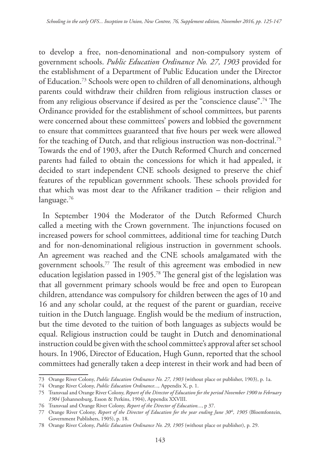to develop a free, non-denominational and non-compulsory system of government schools. *Public Education Ordinance No. 27, 1903* provided for the establishment of a Department of Public Education under the Director of Education.73 Schools were open to children of all denominations, although parents could withdraw their children from religious instruction classes or from any religious observance if desired as per the "conscience clause".74 The Ordinance provided for the establishment of school committees, but parents were concerned about these committees' powers and lobbied the government to ensure that committees guaranteed that five hours per week were allowed for the teaching of Dutch, and that religious instruction was non-doctrinal.75 Towards the end of 1903, after the Dutch Reformed Church and concerned parents had failed to obtain the concessions for which it had appealed, it decided to start independent CNE schools designed to preserve the chief features of the republican government schools. These schools provided for that which was most dear to the Afrikaner tradition – their religion and language.<sup>76</sup>

In September 1904 the Moderator of the Dutch Reformed Church called a meeting with the Crown government. The injunctions focused on increased powers for school committees, additional time for teaching Dutch and for non-denominational religious instruction in government schools. An agreement was reached and the CNE schools amalgamated with the government schools.77 The result of this agreement was embodied in new education legislation passed in 1905.78 The general gist of the legislation was that all government primary schools would be free and open to European children, attendance was compulsory for children between the ages of 10 and 16 and any scholar could, at the request of the parent or guardian, receive tuition in the Dutch language. English would be the medium of instruction, but the time devoted to the tuition of both languages as subjects would be equal. Religious instruction could be taught in Dutch and denominational instruction could be given with the school committee's approval after set school hours. In 1906, Director of Education, Hugh Gunn, reported that the school committees had generally taken a deep interest in their work and had been of

<sup>73</sup> Orange River Colony, *Public Education Ordinance No. 27, 1903* (without place or publisher, 1903), p. 1a.

<sup>74</sup> Orange River Colony, *Public Education Ordinance...,* Appendix X, p. 1.

<sup>75</sup> Transvaal and Orange River Colony, *Report of the Director of Education for the period November 1900 to February 1904* (Johannesburg, Esson & Perkins, 1904), Appendix XXVIII.

<sup>76</sup> Transvaal and Orange River Colony, *Report of the Director of Education...*, p 37.

<sup>77</sup> Orange River Colony, *Report of the Director of Education for the year ending June 30<sup>th</sup>, 1905* (Bloemfontein, Government Publishers, 1905), p. 18.

<sup>78</sup> Orange River Colony, *Public Education Ordinance No. 29, 1905* (without place or publisher), p. 29.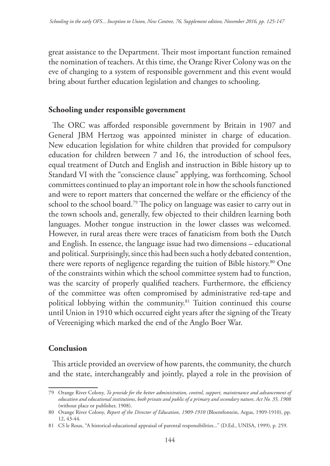great assistance to the Department. Their most important function remained the nomination of teachers. At this time, the Orange River Colony was on the eve of changing to a system of responsible government and this event would bring about further education legislation and changes to schooling.

## **Schooling under responsible government**

The ORC was afforded responsible government by Britain in 1907 and General JBM Hertzog was appointed minister in charge of education. New education legislation for white children that provided for compulsory education for children between 7 and 16, the introduction of school fees, equal treatment of Dutch and English and instruction in Bible history up to Standard VI with the "conscience clause" applying, was forthcoming. School committees continued to play an important role in how the schools functioned and were to report matters that concerned the welfare or the efficiency of the school to the school board.<sup>79</sup> The policy on language was easier to carry out in the town schools and, generally, few objected to their children learning both languages. Mother tongue instruction in the lower classes was welcomed. However, in rural areas there were traces of fanaticism from both the Dutch and English. In essence, the language issue had two dimensions – educational and political. Surprisingly, since this had been such a hotly debated contention, there were reports of negligence regarding the tuition of Bible history.80 One of the constraints within which the school committee system had to function, was the scarcity of properly qualified teachers. Furthermore, the efficiency of the committee was often compromised by administrative red-tape and political lobbying within the community.<sup>81</sup> Tuition continued this course until Union in 1910 which occurred eight years after the signing of the Treaty of Vereeniging which marked the end of the Anglo Boer War.

## **Conclusion**

This article provided an overview of how parents, the community, the church and the state, interchangeably and jointly, played a role in the provision of

<sup>79</sup> Orange River Colony, *To provide for the better administration, control, support, maintenance and advancement of education and educational institutions, both private and public of a primary and secondary nature, Act No. 35, 1908* (without place or publisher, 1908).

<sup>80</sup> Orange River Colony, *Report of the Director of Education, 1909-1910* (Bloemfontein, Argus, 1909-1910), pp. 12, 43-44.

<sup>81</sup> CS le Roux, "A historical-educational appraisal of parental responsibilities..." (D.Ed., UNISA, 1999), p. 259.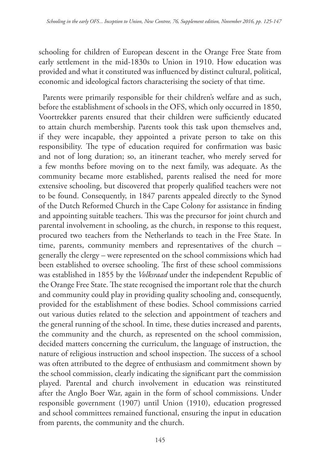schooling for children of European descent in the Orange Free State from early settlement in the mid-1830s to Union in 1910. How education was provided and what it constituted was influenced by distinct cultural, political, economic and ideological factors characterising the society of that time.

Parents were primarily responsible for their children's welfare and as such, before the establishment of schools in the OFS, which only occurred in 1850, Voortrekker parents ensured that their children were sufficiently educated to attain church membership. Parents took this task upon themselves and, if they were incapable, they appointed a private person to take on this responsibility. The type of education required for confirmation was basic and not of long duration; so, an itinerant teacher, who merely served for a few months before moving on to the next family, was adequate. As the community became more established, parents realised the need for more extensive schooling, but discovered that properly qualified teachers were not to be found. Consequently, in 1847 parents appealed directly to the Synod of the Dutch Reformed Church in the Cape Colony for assistance in finding and appointing suitable teachers. This was the precursor for joint church and parental involvement in schooling, as the church, in response to this request, procured two teachers from the Netherlands to teach in the Free State. In time, parents, community members and representatives of the church – generally the clergy – were represented on the school commissions which had been established to oversee schooling. The first of these school commissions was established in 1855 by the *Volksraad* under the independent Republic of the Orange Free State. The state recognised the important role that the church and community could play in providing quality schooling and, consequently, provided for the establishment of these bodies. School commissions carried out various duties related to the selection and appointment of teachers and the general running of the school. In time, these duties increased and parents, the community and the church, as represented on the school commission, decided matters concerning the curriculum, the language of instruction, the nature of religious instruction and school inspection. The success of a school was often attributed to the degree of enthusiasm and commitment shown by the school commission, clearly indicating the significant part the commission played. Parental and church involvement in education was reinstituted after the Anglo Boer War, again in the form of school commissions. Under responsible government (1907) until Union (1910), education progressed and school committees remained functional, ensuring the input in education from parents, the community and the church.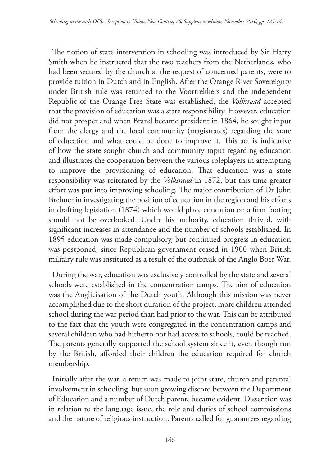The notion of state intervention in schooling was introduced by Sir Harry Smith when he instructed that the two teachers from the Netherlands, who had been secured by the church at the request of concerned parents, were to provide tuition in Dutch and in English. After the Orange River Sovereignty under British rule was returned to the Voortrekkers and the independent Republic of the Orange Free State was established, the *Volksraad* accepted that the provision of education was a state responsibility. However, education did not prosper and when Brand became president in 1864, he sought input from the clergy and the local community (magistrates) regarding the state of education and what could be done to improve it. This act is indicative of how the state sought church and community input regarding education and illustrates the cooperation between the various roleplayers in attempting to improve the provisioning of education. That education was a state responsibility was reiterated by the *Volksraad* in 1872, but this time greater effort was put into improving schooling. The major contribution of Dr John Brebner in investigating the position of education in the region and his efforts in drafting legislation (1874) which would place education on a firm footing should not be overlooked. Under his authority, education thrived, with significant increases in attendance and the number of schools established. In 1895 education was made compulsory, but continued progress in education was postponed, since Republican government ceased in 1900 when British military rule was instituted as a result of the outbreak of the Anglo Boer War.

During the war, education was exclusively controlled by the state and several schools were established in the concentration camps. The aim of education was the Anglicisation of the Dutch youth. Although this mission was never accomplished due to the short duration of the project, more children attended school during the war period than had prior to the war. This can be attributed to the fact that the youth were congregated in the concentration camps and several children who had hitherto not had access to schools, could be reached. The parents generally supported the school system since it, even though run by the British, afforded their children the education required for church membership.

Initially after the war, a return was made to joint state, church and parental involvement in schooling, but soon growing discord between the Department of Education and a number of Dutch parents became evident. Dissention was in relation to the language issue, the role and duties of school commissions and the nature of religious instruction. Parents called for guarantees regarding